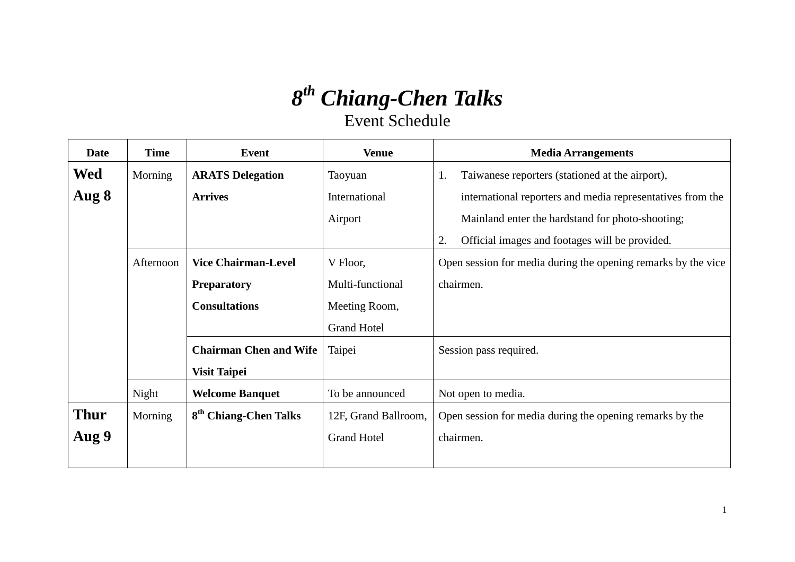## *8th Chiang-Chen Talks*

Event Schedule

| <b>Date</b> | <b>Time</b> | <b>Event</b>                      | <b>Venue</b>         | <b>Media Arrangements</b>                                     |
|-------------|-------------|-----------------------------------|----------------------|---------------------------------------------------------------|
| Wed         | Morning     | <b>ARATS Delegation</b>           | Taoyuan              | Taiwanese reporters (stationed at the airport),<br>1.         |
| Aug 8       |             | <b>Arrives</b>                    | International        | international reporters and media representatives from the    |
|             |             |                                   | Airport              | Mainland enter the hardstand for photo-shooting;              |
|             |             |                                   |                      | Official images and footages will be provided.<br>2.          |
|             | Afternoon   | <b>Vice Chairman-Level</b>        | V Floor,             | Open session for media during the opening remarks by the vice |
|             |             | <b>Preparatory</b>                | Multi-functional     | chairmen.                                                     |
|             |             | <b>Consultations</b>              | Meeting Room,        |                                                               |
|             |             |                                   | <b>Grand Hotel</b>   |                                                               |
|             |             | <b>Chairman Chen and Wife</b>     | Taipei               | Session pass required.                                        |
|             |             | <b>Visit Taipei</b>               |                      |                                                               |
|             | Night       | <b>Welcome Banquet</b>            | To be announced      | Not open to media.                                            |
| <b>Thur</b> | Morning     | 8 <sup>th</sup> Chiang-Chen Talks | 12F, Grand Ballroom, | Open session for media during the opening remarks by the      |
| Aug 9       |             |                                   | <b>Grand Hotel</b>   | chairmen.                                                     |
|             |             |                                   |                      |                                                               |